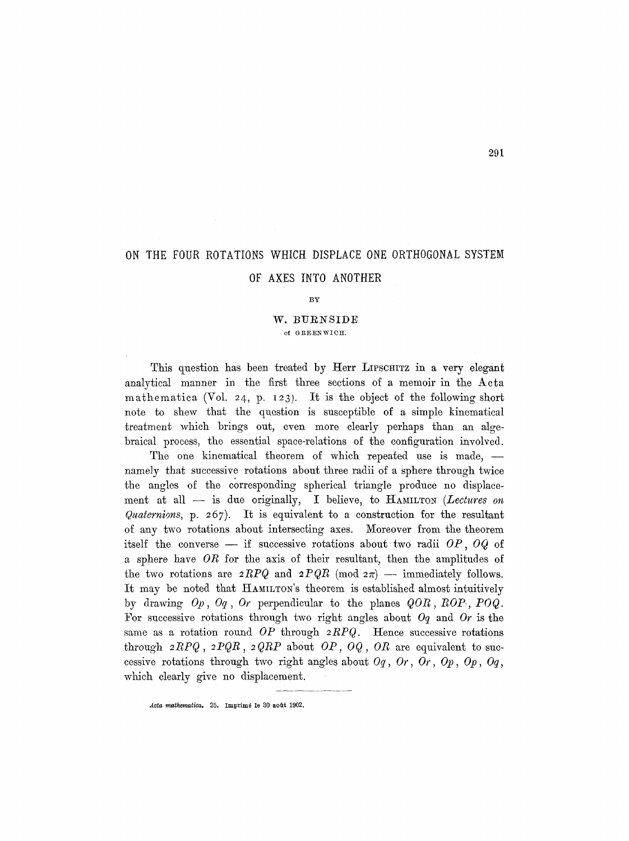# ON THE FOUR ROTATIONS WHICH DISPLACE ONE 0RTHOGONAL SYSTEM

## OF AXES INT0 ANOTHER

#### BY

### W. BURNSIDE ' of GREEN WICH.

This question has been treated by Herr LIPSCHITZ in a very elegant analytical manner in the first three sections of a memoir in the Acta mathematica (Vol. 24, p. I23). It is the object of the following short note to shew that the question is susceptible of a simple kinematical treatment which brings out, even more clearly perhaps than an algebraical process, the essential space-relations of the configuration involved.

The one kinematical theorem of which repeated use is made,  $$ namely that successive rotations about three radii of a sphere through twice the angles of the corresponding spherical triangle produce no displacement at all — is due originally, I believe, to HAMILTON *(Lectures on Qaalernions,* p. 257). It is equivalent to a construction for the resultant of any two rotations about intersecting axes. Moreover from the theorem itself the converse  $-$  if successive rotations about two radii  $OP$ ,  $OQ$  of a sphere have *OR* for the axis of their resultant, then the amplitudes of the two rotations are  $2RPQ$  and  $2PQR \pmod{2\pi}$  -- immediately follows. It may be noted that HAMILTON's theorem is established almost intuitively by drawing *Op, Oq, Or* perpendicular to the planes *QOR, BOP., POQ.*  For successive rotations through two right angles about Oq and *Or* is the same as a rotation round 0P through *2RPQ.* Hence successive rotations through  $2RPQ$ ,  $2PQR$ ,  $2QRP$  about  $OP$ ,  $OQ$ ,  $OR$  are equivalent to successive rotations through two right angles about  $Oq$ ,  $Or$ ,  $Or$ ,  $Op$ ,  $Op$ ,  $Oq$ , which clearly give no displacement.

Acta mathematica. 25. Imprimé le 30 août 1902.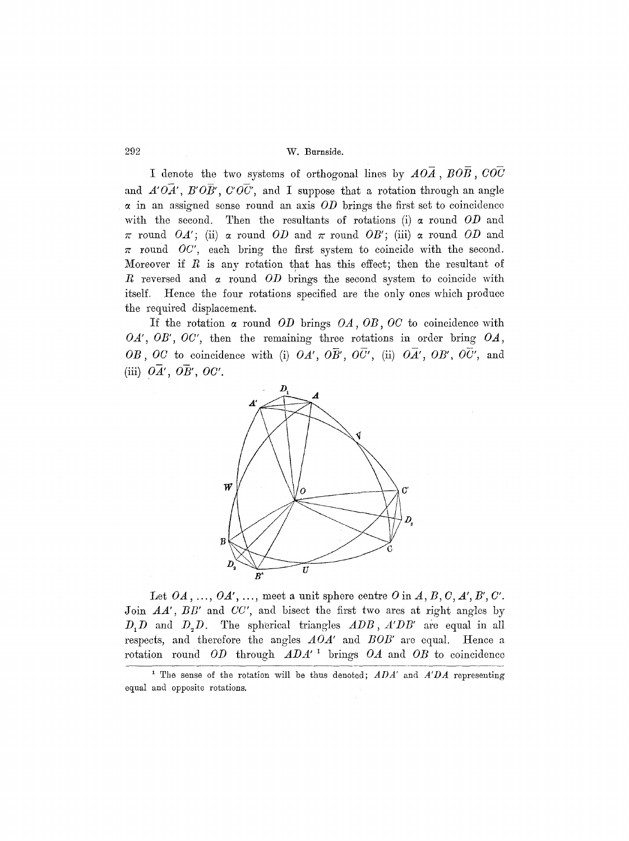## 292 W. Burnside.

I denote the two systems of orthogonal lines by *AOA, BOB, COC*  and  $A'O\overline{A}'$ ,  $B'O\overline{B}'$ ,  $C'O\overline{C}'$ , and I suppose that a rotation through an angle in an assigned sense round an axis *OD* brings the first set to coincidence with the second. Then the resultants of rotations (i) a round *OD* and  $\pi$  round *OA'*; (ii)  $\alpha$  round *OD* and  $\pi$  round *OB'*; (iii)  $\alpha$  round *OD* and  $\pi$  round *OC'*, each bring the first system to coincide with the second. Moreover if  $R$  is any rotation that has this effect; then the resultant of  $R$  reversed and  $\alpha$  round  $OD$  brings the second system to coincide with itself. Hence the four rotations specified are the only ones which produce the required displacement.

If the rotation a round *OD* brings *OA, OB, OC to* coincidence with *OA', OB', OC',* then the remaining three rotations in order bring *OA,*  OB, OC to coincidence with (i)  $OA'$ ,  $O\overline{B}'$ ,  $O\overline{C}'$ , (ii)  $O\overline{A}'$ ,  $OB'$ ,  $O\overline{C}'$ , and (iii)  $\overline{OA'}$ ,  $\overline{OB'}$ ,  $\overline{OC'}$ .



Let  $OA, \ldots, OA', \ldots$ , meet a unit sphere centre  $O$  in  $A, B, C, A', B', C'.$ Join *AA'*, *BB'* and *CC'*, and bisect the first two arcs at right angles by *D<sub>1</sub>D* and *D<sub>2</sub>D*. The spherical triangles *ADB*, *A'DB'* are equal in all respects, and therefore the angles *AOA'* and *BOB'* are equal. Hence a rotation round *OD* through *ADA' ~* brings *OA* and *OB to* coincidence

<sup>1</sup> The sense of the rotation will be thus denoted; *ADA'* and *A'DA* representing equal and opposite rotations.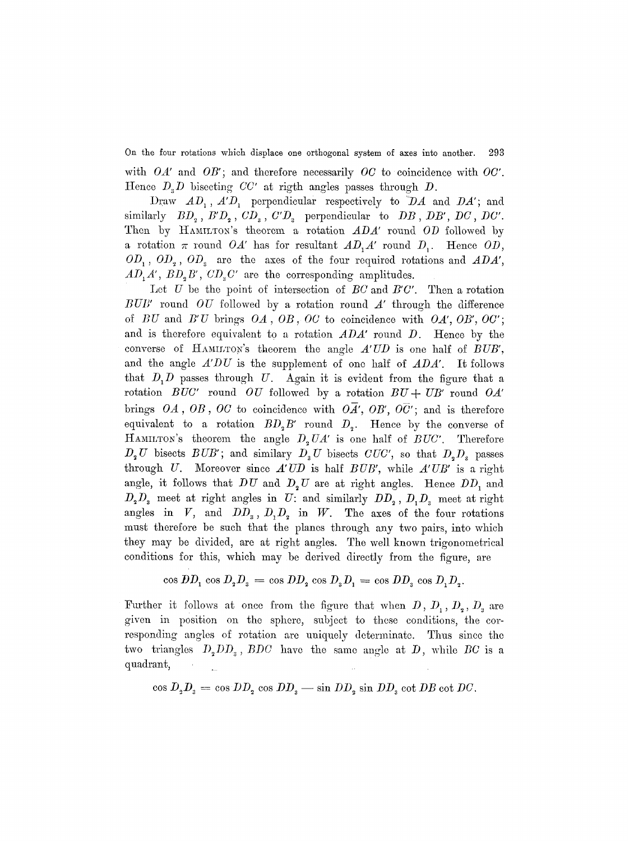On the four rotations which displace one orthogonal system of axes into another. 293 with *OA'* and *OB';* and therefore necessarily *OC* to coincidence with *OC'.*  Hence *D.D* bisecting *CC' at* rigth angles passes through D.

Draw  $AD_1$ ,  $A'D_1$  perpendicular respectively to  $DA$  and  $DA'$ ; and similarly  $BD_2$ ,  $B'D_2$ ,  $CD_3$ ,  $C'D_3$  perpendicular to  $DB$ ,  $DB'$ ,  $DC$ ,  $DC'$ . Then by HAMILTON's theorem a rotation  $ADA'$  round  $OD$  followed by a rotation  $\pi$  round *OA'* has for resultant  $AD_1A'$  round  $D_1$ . Hence *OD*,  $OD_1$ ,  $OD_2$ ,  $OD_3$  are the axes of the four required rotations and *ADA'*,  $AD_1A'$ ,  $BD_2B'$ ,  $CD_3C'$  are the corresponding amplitudes.

Let U be the point of intersection of *BC* and *B'C'*. Then a rotation *BUB'* round *OU* followed by a rotation round A' through the difference of *BU* and *B'U* brings *OA, OB, OC to* coincidence with *OA', OB', OC';*  and is therefore equivalent to a rotation *ADA'* round D. Hence by the converse of HAMILTON's theorem the angle  $A'UD$  is one half of *BUB'*, and the angle *A'DU* is the supplement of one half of *ADA'.* It follows that  $D_1$  passes through U. Again it is evident from the figure that a rotation *BUC'* round *OU* followed by a rotation  $BU + UB'$  round  $OA'$ brings OA, OB, OC to coincidence with OA', OB', OC'; and is therefore equivalent to a rotation  $BD_2B'$  round  $D_2$ . Hence by the converse of HAMILTON's theorem the angle  $D<sub>2</sub> UA'$  is one half of *BUC'*. Therefore  $D_2 U$  bisects  $BUB'$ ; and similary  $D_3 U$  bisects  $CUC'$ , so that  $D_2 D_3$  passes through U. Moreover since *A'UD* is half *B UB',* while *A'UB'* is a right angle, it follows that  $DU$  and  $D_2 U$  are at right angles. Hence  $DD_1$  and  $D_2D_3$  meet at right angles in U: and similarly  $DD_2, D_1D_3$  meet at right angles in V, and  $DD_s$ ,  $D, D_s$  in W. The axes of the four rotations must therefore be such that the planes through any two pairs, into which they may be divided, are at right angles. The well known trigonometrical conditions for this, which may be derived directly from the figure, are

$$
\cos DD_1 \cos D_2 D_3 = \cos DD_2 \cos D_3 D_1 = \cos DD_3 \cos D_1 D_2.
$$

Further it follows at once from the figure that when  $D, D_1, D_2, D_*$  are given in position on the sphere, subject to these conditions, the corresponding angles of rotation are uniquely determinate. Thus since the two triangles  $D_2DD_3$ ,  $BDC$  have the same angle at  $D$ , while  $BC$  is a quadrant,

 $\cos D_2 D_3 = \cos DD_2 \cos DD_3 - \sin DD_2 \sin DD_3 \cot DB \cot DC.$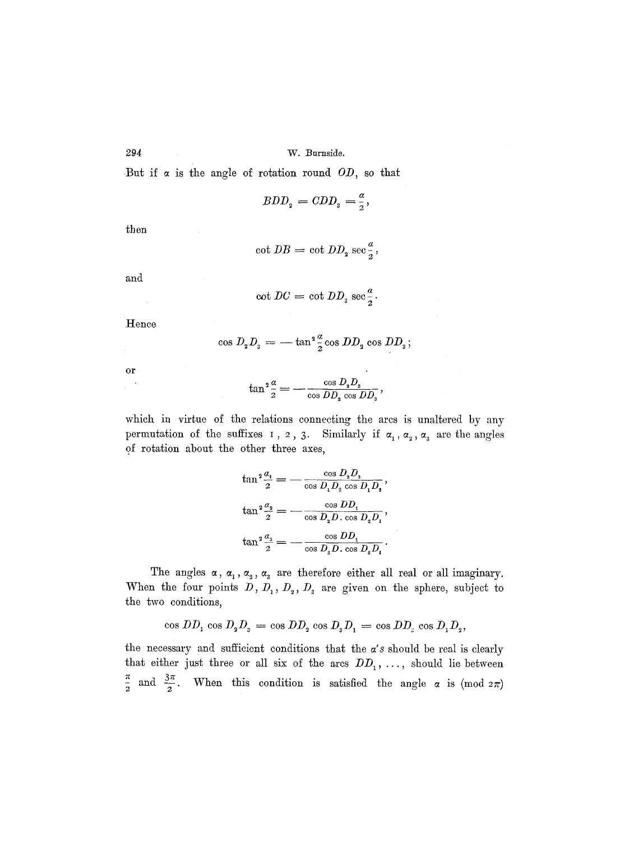W. Burnside.

But if  $\alpha$  is the angle of rotation round OD, so that

$$
BDD_{2} = CDD_{3} = \frac{a}{2},
$$

then

$$
\cot DB = \cot DD_{\mathbf{2}} \sec \frac{\mathbf{\alpha}}{\mathbf{\alpha}},
$$

and

$$
\cot DC = \cot DD_{3} \sec \frac{\alpha}{2}.
$$

Hence

$$
\cos D_{\mathbf{2}}D_{\mathbf{3}} = -\tan^2 \frac{\alpha}{2} \cos DD_{\mathbf{2}} \cos DD_{\mathbf{3}};
$$

or

$$
\tan^2\frac{a}{2} = -\frac{\cos D_{\rm s}D_{\rm s}}{\cos DD_{\rm s}\cos DD_{\rm s}},
$$

which in virtue of the relations connecting the arcs is unaltered by any permutation of the suffixes 1, 2, 3. Similarly if  $\alpha_1$ ,  $\alpha_2$ ,  $\alpha_3$  are the angles of rotation about the other three axes,

$$
\tan^2 \frac{a_1}{2} = -\frac{\cos D_2 D_3}{\cos D_1 D_2 \cos D_1 D_3},
$$
  

$$
\tan^2 \frac{a_2}{2} = -\frac{\cos DD_1}{\cos D_2 D_1 \cos D_2 D_1},
$$
  

$$
\tan^2 \frac{a_3}{2} = -\frac{\cos DD_1}{\cos D_3 D_1 \cos D_2 D_1}.
$$

The angles  $\alpha$ ,  $\alpha_1$ ,  $\alpha_2$ ,  $\alpha_3$  are therefore either all real or all imaginary. When the four points  $D, D_1, D_2, D_3$  are given on the sphere, subject to the two conditions,

cos  $DD_1 \cos D_2 D_3 = \cos DD_2 \cos D_3 D_1 = \cos DD_2 \cos D_1 D_2$ 

the necessary and sufficient conditions that the  $a's$  should be real is clearly that either just three or all six of the arcs  $DD_1, \ldots$ , should lie between  $\frac{\pi}{2}$  and  $\frac{3\pi}{2}$ . When this condition is satisfied the angle  $\alpha$  is (mod  $2\pi$ )

294